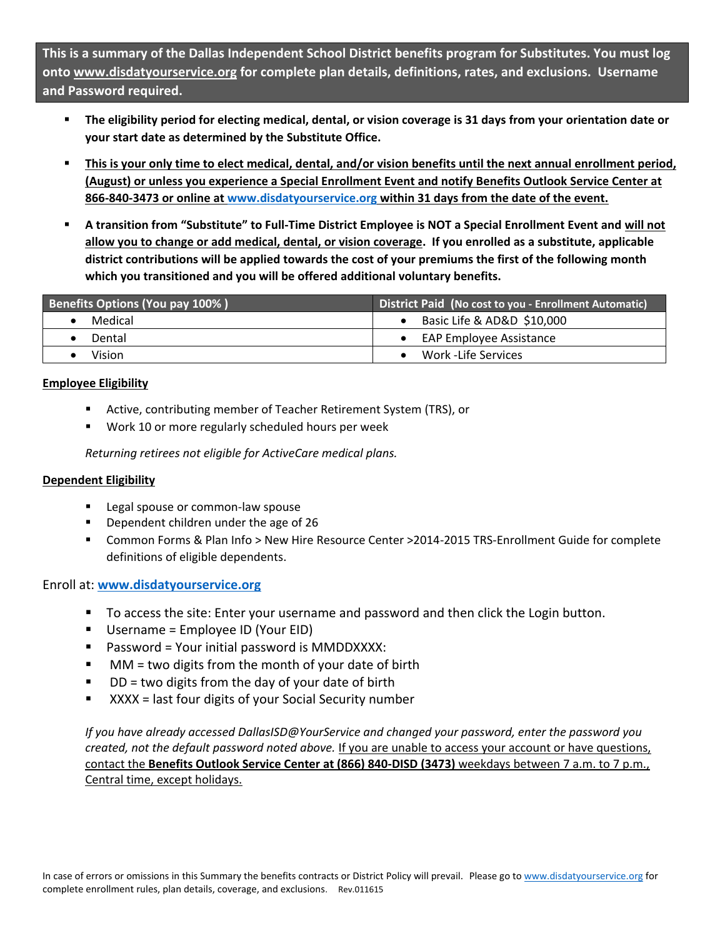**This is a summary of the Dallas Independent School District benefits program for Substitutes. You must log onto [www.disdatyourservice.org](http://www.disdatyourservice.org/) for complete plan details, definitions, rates, and exclusions. Username and Password required.** 

- **The eligibility period for electing medical, dental, or vision coverage is 31 days from your orientation date or your start date as determined by the Substitute Office.**
- **This is your only time to elect medical, dental, and/or vision benefits until the next annual enrollment period, (August) or unless you experience a Special Enrollment Event and notify Benefits Outlook Service Center at 866-840-3473 or online at [www.disdatyourservice.org](http://www.disdatyourservice.org/) within 31 days from the date of the event.**
- **A transition from "Substitute" to Full-Time District Employee is NOT a Special Enrollment Event and will not allow you to change or add medical, dental, or vision coverage. If you enrolled as a substitute, applicable district contributions will be applied towards the cost of your premiums the first of the following month which you transitioned and you will be offered additional voluntary benefits.**

| Benefits Options (You pay 100%) | <b>District Paid (No cost to you - Enrollment Automatic)</b> |
|---------------------------------|--------------------------------------------------------------|
| Medical                         | Basic Life & AD&D \$10,000                                   |
| Dental                          | EAP Employee Assistance                                      |
| Vision                          | Work -Life Services                                          |

### **Employee Eligibility**

- Active, contributing member of Teacher Retirement System (TRS), or
- **Work 10 or more regularly scheduled hours per week**

*Returning retirees not eligible for ActiveCare medical plans.* 

### **Dependent Eligibility**

- Legal spouse or common-law spouse
- **Dependent children under the age of 26**
- Common Forms & Plan Info > New Hire Resource Center >2014-2015 TRS-Enrollment Guide for complete definitions of eligible dependents.

### Enroll at: **[www.disdatyourservice.org](http://www.disdatyourservice.org/)**

- To access the site: Enter your username and password and then click the Login button.
- Username = Employee ID (Your EID)
- Password = Your initial password is MMDDXXXX:
- MM = two digits from the month of your date of birth
- $\blacksquare$  DD = two digits from the day of your date of birth
- XXXX = last four digits of your Social Security number

*If you have already accessed DallasISD@YourService and changed your password, enter the password you created, not the default password noted above.* If you are unable to access your account or have questions, contact the **Benefits Outlook Service Center at (866) 840-DISD (3473)** weekdays between 7 a.m. to 7 p.m., Central time, except holidays.